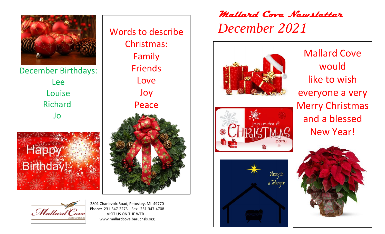

December Birthdays: Lee Louise Richard Jo



Words to describe Christmas: Family Friends Love Joy Peace

Mallard Cove

2801 Charlevoix Road, Petoskey, MI 49770 Phone: 231-347-2273 Fax: 231-347-4708 VISIT US ON THE WEB – www.mallardcove.baruchsls.org

## **Mallard Cove Newsletter**  *December 2021*







Mallard Cove would like to wish everyone a very Merry Christmas and a blessed New Year!